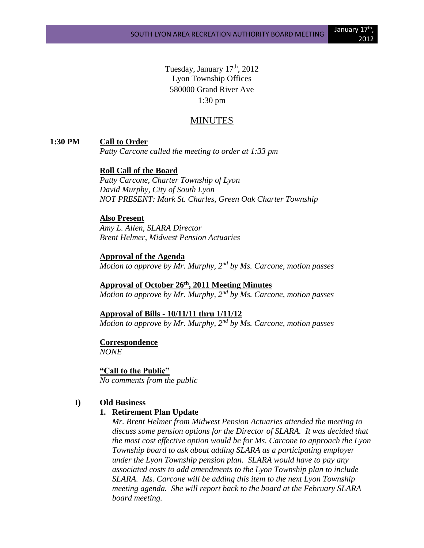Tuesday, January  $17<sup>th</sup>$ , 2012 Lyon Township Offices 580000 Grand River Ave 1:30 pm

## MINUTES

#### **1:30 PM Call to Order**

*Patty Carcone called the meeting to order at 1:33 pm*

## **Roll Call of the Board**

*Patty Carcone, Charter Township of Lyon David Murphy, City of South Lyon NOT PRESENT: Mark St. Charles, Green Oak Charter Township*

#### **Also Present**

*Amy L. Allen, SLARA Director Brent Helmer, Midwest Pension Actuaries*

#### **Approval of the Agenda** *Motion to approve by Mr. Murphy, 2nd by Ms. Carcone, motion passes*

# **Approval of October 26th , 2011 Meeting Minutes**

*Motion to approve by Mr. Murphy, 2nd by Ms. Carcone, motion passes*

#### **Approval of Bills - 10/11/11 thru 1/11/12**

*Motion to approve by Mr. Murphy, 2nd by Ms. Carcone, motion passes*

## **Correspondence**

*NONE*

#### **"Call to the Public"**

*No comments from the public*

#### **I) Old Business**

#### **1. Retirement Plan Update**

*Mr. Brent Helmer from Midwest Pension Actuaries attended the meeting to discuss some pension options for the Director of SLARA. It was decided that the most cost effective option would be for Ms. Carcone to approach the Lyon Township board to ask about adding SLARA as a participating employer under the Lyon Township pension plan. SLARA would have to pay any associated costs to add amendments to the Lyon Township plan to include SLARA. Ms. Carcone will be adding this item to the next Lyon Township meeting agenda. She will report back to the board at the February SLARA board meeting.*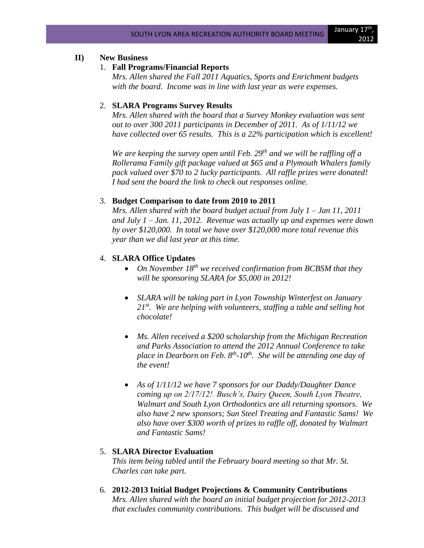## **II) New Business**

#### 1. **Fall Programs/Financial Reports**

*Mrs. Allen shared the Fall 2011 Aquatics, Sports and Enrichment budgets with the board. Income was in line with last year as were expenses.*

#### 2. **SLARA Programs Survey Results**

*Mrs. Allen shared with the board that a Survey Monkey evaluation was sent out to over 300 2011 participants in December of 2011. As of 1/11/12 we have collected over 65 results. This is a 22% participation which is excellent!* 

*We are keeping the survey open until Feb. 29th and we will be raffling off a Rollerama Family gift package valued at \$65 and a Plymouth Whalers family pack valued over \$70 to 2 lucky participants. All raffle prizes were donated! I had sent the board the link to check out responses online.*

#### 3. **Budget Comparison to date from 2010 to 2011**

*Mrs. Allen shared with the board budget actual from July 1 – Jan 11, 2011 and July 1 – Jan. 11, 2012. Revenue was actually up and expenses were down by over \$120,000. In total we have over \$120,000 more total revenue this year than we did last year at this time.*

## 4. **SLARA Office Updates**

- *On November 18<sup>th</sup> we received confirmation from BCBSM that they will be sponsoring SLARA for \$5,000 in 2012!*
- *SLARA will be taking part in Lyon Township Winterfest on January 21st. We are helping with volunteers, staffing a table and selling hot chocolate!*
- *Ms. Allen received a \$200 scholarship from the Michigan Recreation and Parks Association to attend the 2012 Annual Conference to take place in Dearborn on Feb. 8th -10th. She will be attending one day of the event!*
- *As of 1/11/12 we have 7 sponsors for our Daddy/Daughter Dance coming up on 2/17/12! Busch's, Dairy Queen, South Lyon Theatre, Walmart and South Lyon Orthodontics are all returning sponsors. We also have 2 new sponsors; Sun Steel Treating and Fantastic Sams! We also have over \$300 worth of prizes to raffle off, donated by Walmart and Fantastic Sams!*

## 5. **SLARA Director Evaluation**

*This item being tabled until the February board meeting so that Mr. St. Charles can take part.*

6. **2012-2013 Initial Budget Projections & Community Contributions** *Mrs. Allen shared with the board an initial budget projection for 2012-2013 that excludes community contributions. This budget will be discussed and*